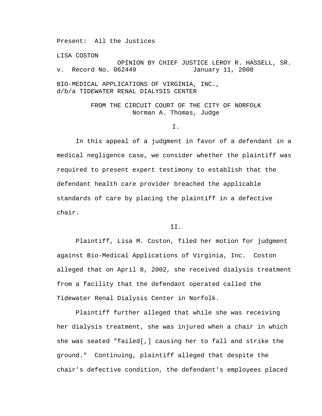Present: All the Justices

LISA COSTON OPINION BY CHIEF JUSTICE LEROY R. HASSELL, SR. v. Record No. 062449 January 11, 2008 BIO-MEDICAL APPLICATIONS OF VIRGINIA, INC., d/b/a TIDEWATER RENAL DIALYSIS CENTER

> FROM THE CIRCUIT COURT OF THE CITY OF NORFOLK Norman A. Thomas, Judge

> > I.

 In this appeal of a judgment in favor of a defendant in a medical negligence case, we consider whether the plaintiff was required to present expert testimony to establish that the defendant health care provider breached the applicable standards of care by placing the plaintiff in a defective chair.

## II.

 Plaintiff, Lisa M. Coston, filed her motion for judgment against Bio-Medical Applications of Virginia, Inc. Coston alleged that on April 8, 2002, she received dialysis treatment from a facility that the defendant operated called the Tidewater Renal Dialysis Center in Norfolk.

 Plaintiff further alleged that while she was receiving her dialysis treatment, she was injured when a chair in which she was seated "failed[,] causing her to fall and strike the ground." Continuing, plaintiff alleged that despite the chair's defective condition, the defendant's employees placed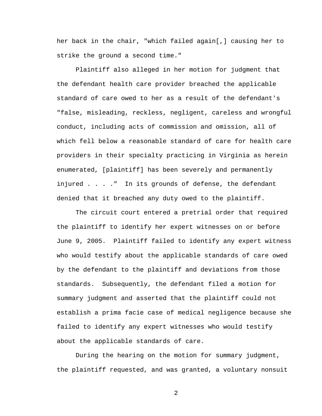her back in the chair, "which failed again[,] causing her to strike the ground a second time."

Plaintiff also alleged in her motion for judgment that the defendant health care provider breached the applicable standard of care owed to her as a result of the defendant's "false, misleading, reckless, negligent, careless and wrongful conduct, including acts of commission and omission, all of which fell below a reasonable standard of care for health care providers in their specialty practicing in Virginia as herein enumerated, [plaintiff] has been severely and permanently injured . . . ." In its grounds of defense, the defendant denied that it breached any duty owed to the plaintiff.

 The circuit court entered a pretrial order that required the plaintiff to identify her expert witnesses on or before June 9, 2005. Plaintiff failed to identify any expert witness who would testify about the applicable standards of care owed by the defendant to the plaintiff and deviations from those standards. Subsequently, the defendant filed a motion for summary judgment and asserted that the plaintiff could not establish a prima facie case of medical negligence because she failed to identify any expert witnesses who would testify about the applicable standards of care.

During the hearing on the motion for summary judgment, the plaintiff requested, and was granted, a voluntary nonsuit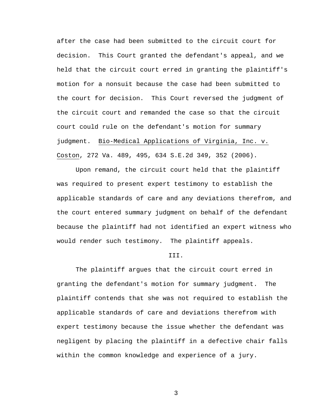after the case had been submitted to the circuit court for decision. This Court granted the defendant's appeal, and we held that the circuit court erred in granting the plaintiff's motion for a nonsuit because the case had been submitted to the court for decision. This Court reversed the judgment of the circuit court and remanded the case so that the circuit court could rule on the defendant's motion for summary judgment. Bio-Medical Applications of Virginia, Inc. v. Coston, 272 Va. 489, 495, 634 S.E.2d 349, 352 (2006).

 Upon remand, the circuit court held that the plaintiff was required to present expert testimony to establish the applicable standards of care and any deviations therefrom, and the court entered summary judgment on behalf of the defendant because the plaintiff had not identified an expert witness who would render such testimony. The plaintiff appeals.

## III.

The plaintiff argues that the circuit court erred in granting the defendant's motion for summary judgment. The plaintiff contends that she was not required to establish the applicable standards of care and deviations therefrom with expert testimony because the issue whether the defendant was negligent by placing the plaintiff in a defective chair falls within the common knowledge and experience of a jury.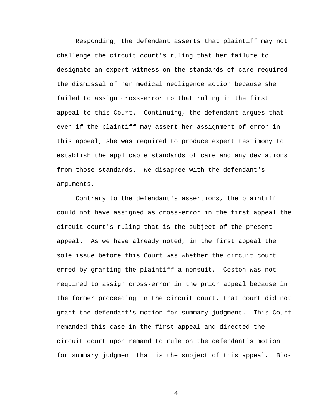Responding, the defendant asserts that plaintiff may not challenge the circuit court's ruling that her failure to designate an expert witness on the standards of care required the dismissal of her medical negligence action because she failed to assign cross-error to that ruling in the first appeal to this Court. Continuing, the defendant argues that even if the plaintiff may assert her assignment of error in this appeal, she was required to produce expert testimony to establish the applicable standards of care and any deviations from those standards. We disagree with the defendant's arguments.

Contrary to the defendant's assertions, the plaintiff could not have assigned as cross-error in the first appeal the circuit court's ruling that is the subject of the present appeal. As we have already noted, in the first appeal the sole issue before this Court was whether the circuit court erred by granting the plaintiff a nonsuit. Coston was not required to assign cross-error in the prior appeal because in the former proceeding in the circuit court, that court did not grant the defendant's motion for summary judgment.This Court remanded this case in the first appeal and directed the circuit court upon remand to rule on the defendant's motion for summary judgment that is the subject of this appeal. Bio-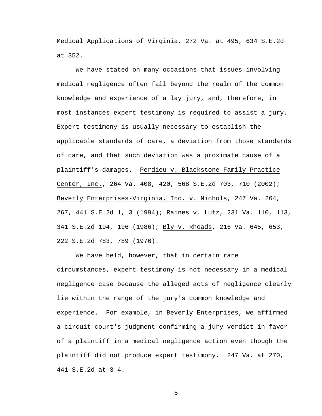Medical Applications of Virginia, 272 Va. at 495, 634 S.E.2d at 352.

We have stated on many occasions that issues involving medical negligence often fall beyond the realm of the common knowledge and experience of a lay jury, and, therefore, in most instances expert testimony is required to assist a jury. Expert testimony is usually necessary to establish the applicable standards of care, a deviation from those standards of care, and that such deviation was a proximate cause of a plaintiff's damages. Perdieu v. Blackstone Family Practice Center, Inc., 264 Va. 408, 420, 568 S.E.2d 703, 710 (2002); Beverly Enterprises-Virginia, Inc. v. Nichols, 247 Va. 264, 267, 441 S.E.2d 1, 3 (1994); Raines v. Lutz, 231 Va. 110, 113, 341 S.E.2d 194, 196 (1986); Bly v. Rhoads, 216 Va. 645, 653, 222 S.E.2d 783, 789 (1976).

 We have held, however, that in certain rare circumstances, expert testimony is not necessary in a medical negligence case because the alleged acts of negligence clearly lie within the range of the jury's common knowledge and experience. For example, in Beverly Enterprises, we affirmed a circuit court's judgment confirming a jury verdict in favor of a plaintiff in a medical negligence action even though the plaintiff did not produce expert testimony. 247 Va. at 270, 441 S.E.2d at 3-4.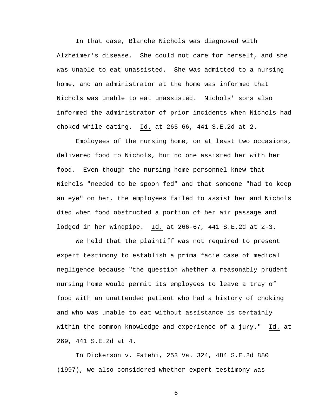In that case, Blanche Nichols was diagnosed with Alzheimer's disease. She could not care for herself, and she was unable to eat unassisted. She was admitted to a nursing home, and an administrator at the home was informed that Nichols was unable to eat unassisted. Nichols' sons also informed the administrator of prior incidents when Nichols had choked while eating. Id. at 265-66, 441 S.E.2d at 2.

 Employees of the nursing home, on at least two occasions, delivered food to Nichols, but no one assisted her with her food. Even though the nursing home personnel knew that Nichols "needed to be spoon fed" and that someone "had to keep an eye" on her, the employees failed to assist her and Nichols died when food obstructed a portion of her air passage and lodged in her windpipe. Id. at 266-67, 441 S.E.2d at 2-3.

 We held that the plaintiff was not required to present expert testimony to establish a prima facie case of medical negligence because "the question whether a reasonably prudent nursing home would permit its employees to leave a tray of food with an unattended patient who had a history of choking and who was unable to eat without assistance is certainly within the common knowledge and experience of a jury." Id. at 269, 441 S.E.2d at 4.

 In Dickerson v. Fatehi, 253 Va. 324, 484 S.E.2d 880 (1997), we also considered whether expert testimony was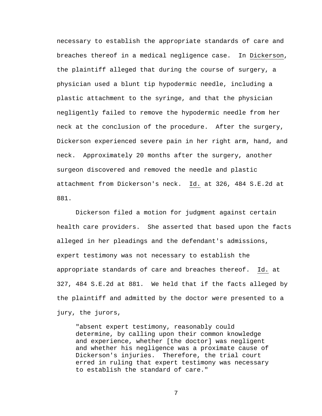necessary to establish the appropriate standards of care and breaches thereof in a medical negligence case. In Dickerson, the plaintiff alleged that during the course of surgery, a physician used a blunt tip hypodermic needle, including a plastic attachment to the syringe, and that the physician negligently failed to remove the hypodermic needle from her neck at the conclusion of the procedure. After the surgery, Dickerson experienced severe pain in her right arm, hand, and neck. Approximately 20 months after the surgery, another surgeon discovered and removed the needle and plastic attachment from Dickerson's neck. Id. at 326, 484 S.E.2d at 881.

 Dickerson filed a motion for judgment against certain health care providers. She asserted that based upon the facts alleged in her pleadings and the defendant's admissions, expert testimony was not necessary to establish the appropriate standards of care and breaches thereof. Id. at 327, 484 S.E.2d at 881. We held that if the facts alleged by the plaintiff and admitted by the doctor were presented to a jury, the jurors,

"absent expert testimony, reasonably could determine, by calling upon their common knowledge and experience, whether [the doctor] was negligent and whether his negligence was a proximate cause of Dickerson's injuries. Therefore, the trial court erred in ruling that expert testimony was necessary to establish the standard of care."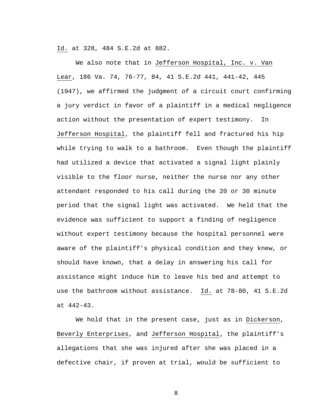Id. at 328, 484 S.E.2d at 882.

 We also note that in Jefferson Hospital, Inc. v. Van Lear, 186 Va. 74, 76-77, 84, 41 S.E.2d 441, 441-42, 445 (1947), we affirmed the judgment of a circuit court confirming a jury verdict in favor of a plaintiff in a medical negligence action without the presentation of expert testimony. In Jefferson Hospital, the plaintiff fell and fractured his hip while trying to walk to a bathroom. Even though the plaintiff had utilized a device that activated a signal light plainly visible to the floor nurse, neither the nurse nor any other attendant responded to his call during the 20 or 30 minute period that the signal light was activated. We held that the evidence was sufficient to support a finding of negligence without expert testimony because the hospital personnel were aware of the plaintiff's physical condition and they knew, or should have known, that a delay in answering his call for assistance might induce him to leave his bed and attempt to use the bathroom without assistance. Id. at 78-80, 41 S.E.2d at 442-43.

 We hold that in the present case, just as in Dickerson, Beverly Enterprises, and Jefferson Hospital, the plaintiff's allegations that she was injured after she was placed in a defective chair, if proven at trial, would be sufficient to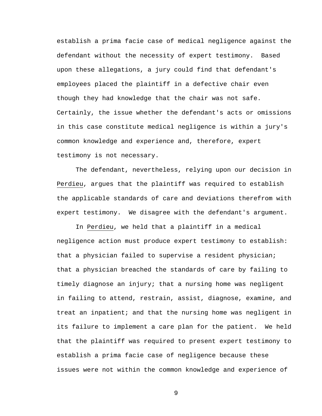establish a prima facie case of medical negligence against the defendant without the necessity of expert testimony. Based upon these allegations, a jury could find that defendant's employees placed the plaintiff in a defective chair even though they had knowledge that the chair was not safe. Certainly, the issue whether the defendant's acts or omissions in this case constitute medical negligence is within a jury's common knowledge and experience and, therefore, expert testimony is not necessary.

 The defendant, nevertheless, relying upon our decision in Perdieu, argues that the plaintiff was required to establish the applicable standards of care and deviations therefrom with expert testimony. We disagree with the defendant's argument.

In Perdieu, we held that a plaintiff in a medical negligence action must produce expert testimony to establish: that a physician failed to supervise a resident physician; that a physician breached the standards of care by failing to timely diagnose an injury; that a nursing home was negligent in failing to attend, restrain, assist, diagnose, examine, and treat an inpatient; and that the nursing home was negligent in its failure to implement a care plan for the patient. We held that the plaintiff was required to present expert testimony to establish a prima facie case of negligence because these issues were not within the common knowledge and experience of